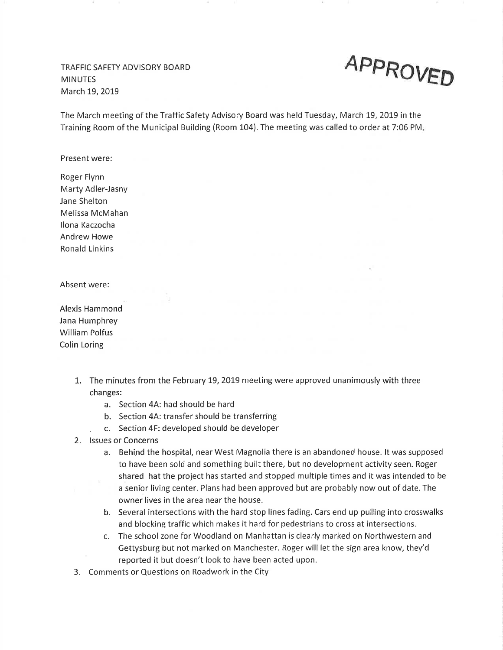TRAFFIC SAFETY ADVISORY BOARD **MINUTES** March 19,2OI9



The March meeting of the Traffic Safety Advisory Board was held Tuesday, March 19, 2019 in the Training Room of the Municipal Building (Room 104). The meeting was called to order at 7:06 PM

Present were:

Roger Flynn Marty Adler-Jasny Jane Shelton Melissa McMahan llona Kaczocha Andrew Howe Ronald Linkins

Absent were:

Alexis Hammond Jana Humphrey William Polfus Colin Loring

- 1. The minutes from the February 19, 2019 meeting were approved unanimously with three changes:
	- a. Section 4A: had should be hard
	- b. Section 4A: transfer should be transferring
	- . c. Section 4F: developed should be developer
- 2. lssues or Concerns
	- a. Behind the hospital, near West Magnolia there is an abandoned house. lt was supposed to have been sold and something built there, but no development activity seen. Roger shared hat the project has started and stopped multiple times and it was intended to be a senior living center. Plans had been approved but are probably now out of date. The owner lives in the area near the house.
	- b. Several intersections with the hard stop lines fading. Cars end up pulling into crosswalks and blocking traffic which makes it hard for pedestrians to cross at intersections.
	- c. The school zone for Woodland on Manhattan is clearly marked on Northwestern and Gettysburg but not marked on Manchester. Roger will let the sígn area know, they'd reported it but doesn't look to have been acted upon.
- 3. Comments or Questions on Roadwork in the City